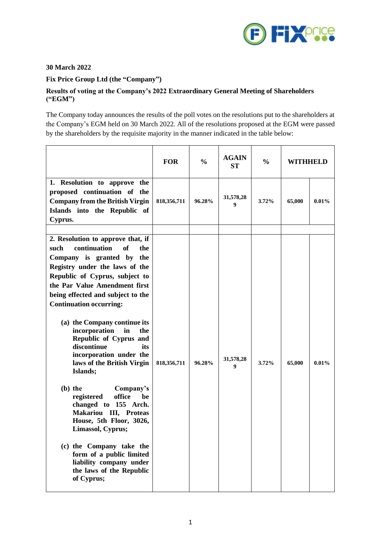

## **30 March 2022**

# **Fix Price Group Ltd (the "Company")**

## **Results of voting at the Company's 2022 Extraordinary General Meeting of Shareholders ("EGM")**

The Company today announces the results of the poll votes on the resolutions put to the shareholders at the Company's EGM held on 30 March 2022. All of the resolutions proposed at the EGM were passed by the shareholders by the requisite majority in the manner indicated in the table below:

|                                                                                                                                                                                                                                                                                                                                                                                                                                                                                                                                                                                                                                                                                                                                                                 | <b>FOR</b>  | $\frac{0}{0}$ | <b>AGAIN</b><br><b>ST</b> | $\frac{0}{0}$ | WITHHELD |          |
|-----------------------------------------------------------------------------------------------------------------------------------------------------------------------------------------------------------------------------------------------------------------------------------------------------------------------------------------------------------------------------------------------------------------------------------------------------------------------------------------------------------------------------------------------------------------------------------------------------------------------------------------------------------------------------------------------------------------------------------------------------------------|-------------|---------------|---------------------------|---------------|----------|----------|
| 1. Resolution to approve the<br>proposed continuation of the<br><b>Company from the British Virgin</b><br>Islands into the Republic of<br>Cyprus.                                                                                                                                                                                                                                                                                                                                                                                                                                                                                                                                                                                                               | 818,356,711 | 96.28%        | 31,578,28<br>9            | 3.72%         | 65,000   | 0.01%    |
| 2. Resolution to approve that, if<br>continuation<br><b>of</b><br>such<br>the<br>Company is granted by the<br>Registry under the laws of the<br>Republic of Cyprus, subject to<br>the Par Value Amendment first<br>being effected and subject to the<br><b>Continuation occurring:</b><br>(a) the Company continue its<br>incorporation<br>in<br>the<br>Republic of Cyprus and<br>discontinue<br>its<br>incorporation under the<br>laws of the British Virgin<br>Islands;<br>$(b)$ the<br>Company's<br>office<br>registered<br>be<br>changed to 155 Arch.<br>Makariou III, Proteas<br>House, 5th Floor, 3026,<br>Limassol, Cyprus;<br>(c) the Company take the<br>form of a public limited<br>liability company under<br>the laws of the Republic<br>of Cyprus; | 818,356,711 | 96.28%        | 31,578,28<br>9            | 3.72%         | 65,000   | $0.01\%$ |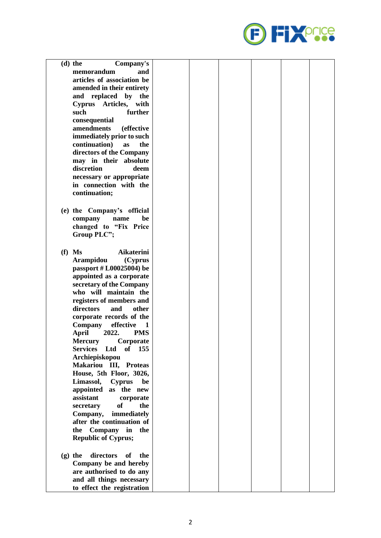

| $(d)$ the<br>Company's              |  |  |  |
|-------------------------------------|--|--|--|
| and<br>memorandum                   |  |  |  |
| articles of association be          |  |  |  |
| amended in their entirety           |  |  |  |
| replaced by<br>and<br>the           |  |  |  |
| Cyprus Articles, with               |  |  |  |
| such<br>further                     |  |  |  |
| consequential                       |  |  |  |
| amendments<br><i>(effective)</i>    |  |  |  |
| immediately prior to such           |  |  |  |
| continuation)<br>the<br>as          |  |  |  |
| directors of the Company            |  |  |  |
| may in their absolute               |  |  |  |
| discretion<br>deem                  |  |  |  |
| necessary or appropriate            |  |  |  |
| in connection with the              |  |  |  |
| continuation;                       |  |  |  |
|                                     |  |  |  |
|                                     |  |  |  |
| (e) the Company's official          |  |  |  |
| be<br>company<br>name               |  |  |  |
| changed to "Fix Price               |  |  |  |
| Group PLC";                         |  |  |  |
|                                     |  |  |  |
| $(f)$ Ms<br><b>Aikaterini</b>       |  |  |  |
| Arampidou<br>(Cyprus                |  |  |  |
| passport # L00025004) be            |  |  |  |
| appointed as a corporate            |  |  |  |
| secretary of the Company            |  |  |  |
| who will maintain the               |  |  |  |
| registers of members and            |  |  |  |
| directors<br>and<br>other           |  |  |  |
| corporate records of the            |  |  |  |
| <b>Company</b><br>effective<br>1    |  |  |  |
| 2022.<br><b>PMS</b><br>April        |  |  |  |
| Corporate<br><b>Mercury</b>         |  |  |  |
| <b>Services</b><br>of 155<br>Ltd    |  |  |  |
| Archiepiskopou                      |  |  |  |
| Makariou III, Proteas               |  |  |  |
| House, 5th Floor, 3026,             |  |  |  |
| Limassol, Cyprus<br>be              |  |  |  |
| appointed as the new                |  |  |  |
| assistant<br>corporate              |  |  |  |
| <b>of</b><br>the<br>secretary       |  |  |  |
| immediately<br>Company,             |  |  |  |
| after the continuation of           |  |  |  |
| Company in the<br>the               |  |  |  |
| <b>Republic of Cyprus;</b>          |  |  |  |
|                                     |  |  |  |
| $(g)$ the<br>directors<br>of<br>the |  |  |  |
| Company be and hereby               |  |  |  |
| are authorised to do any            |  |  |  |
| and all things necessary            |  |  |  |
| to effect the registration          |  |  |  |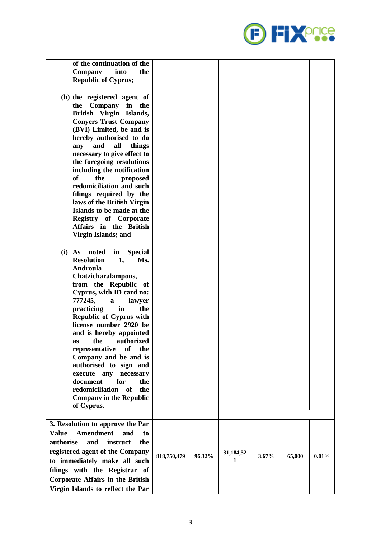

|             | 31,184,52 |          |        |
|-------------|-----------|----------|--------|
|             | 1         |          | 0.01%  |
|             |           |          |        |
|             |           |          |        |
|             |           |          |        |
| 818,750,479 | 96.32%    | $3.67\%$ | 65,000 |